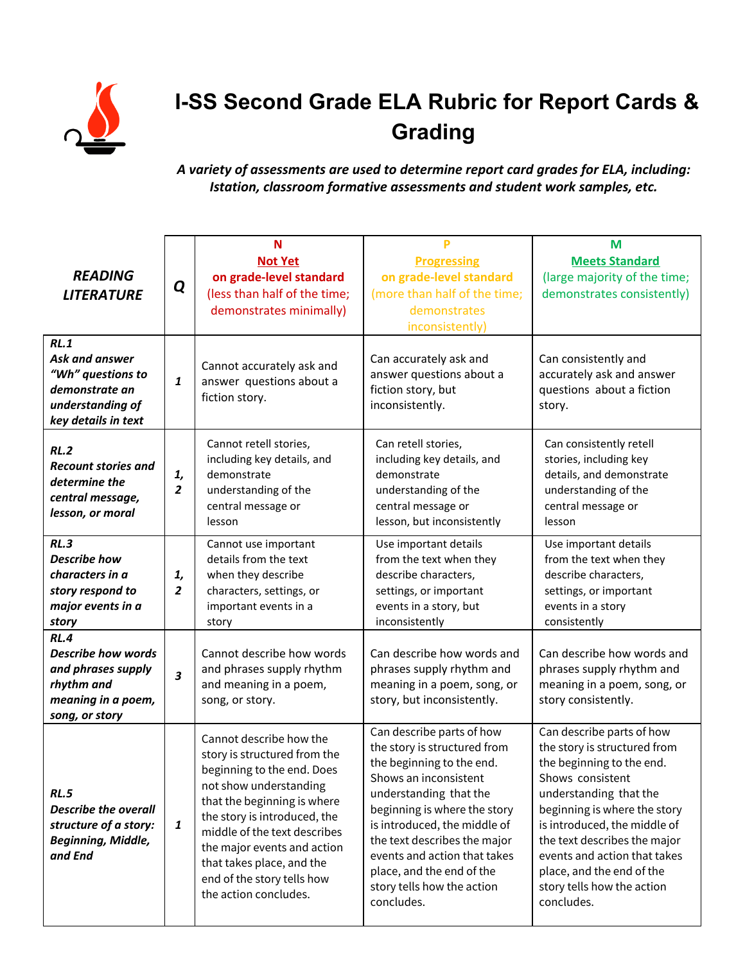

## **I-SS Second Grade ELA Rubric for Report Cards & Grading**

## *A variety of assessments are used to determine report card grades for ELA, including: Istation, classroom formative assessments and student work samples, etc.*

| <b>READING</b><br><b>LITERATURE</b>                                                                           | Q                    | N<br><b>Not Yet</b><br>on grade-level standard<br>(less than half of the time;<br>demonstrates minimally)                                                                                                                                                                                                                         | P<br><b>Progressing</b><br>on grade-level standard<br>(more than half of the time;<br>demonstrates<br>inconsistently)                                                                                                                                                                                                                              | M<br><b>Meets Standard</b><br>(large majority of the time;<br>demonstrates consistently)                                                                                                                                                                                                                                                      |
|---------------------------------------------------------------------------------------------------------------|----------------------|-----------------------------------------------------------------------------------------------------------------------------------------------------------------------------------------------------------------------------------------------------------------------------------------------------------------------------------|----------------------------------------------------------------------------------------------------------------------------------------------------------------------------------------------------------------------------------------------------------------------------------------------------------------------------------------------------|-----------------------------------------------------------------------------------------------------------------------------------------------------------------------------------------------------------------------------------------------------------------------------------------------------------------------------------------------|
| RL.1<br>Ask and answer<br>"Wh" questions to<br>demonstrate an<br>understanding of<br>key details in text      | 1                    | Cannot accurately ask and<br>answer questions about a<br>fiction story.                                                                                                                                                                                                                                                           | Can accurately ask and<br>answer questions about a<br>fiction story, but<br>inconsistently.                                                                                                                                                                                                                                                        | Can consistently and<br>accurately ask and answer<br>questions about a fiction<br>story.                                                                                                                                                                                                                                                      |
| RL.2<br><b>Recount stories and</b><br>determine the<br>central message,<br>lesson, or moral                   | 1,<br>$\overline{2}$ | Cannot retell stories,<br>including key details, and<br>demonstrate<br>understanding of the<br>central message or<br>lesson                                                                                                                                                                                                       | Can retell stories,<br>including key details, and<br>demonstrate<br>understanding of the<br>central message or<br>lesson, but inconsistently                                                                                                                                                                                                       | Can consistently retell<br>stories, including key<br>details, and demonstrate<br>understanding of the<br>central message or<br>lesson                                                                                                                                                                                                         |
| RL.3<br><b>Describe how</b><br>characters in a<br>story respond to<br>major events in a<br>story              | 1,<br>$\overline{2}$ | Cannot use important<br>details from the text<br>when they describe<br>characters, settings, or<br>important events in a<br>story                                                                                                                                                                                                 | Use important details<br>from the text when they<br>describe characters,<br>settings, or important<br>events in a story, but<br>inconsistently                                                                                                                                                                                                     | Use important details<br>from the text when they<br>describe characters,<br>settings, or important<br>events in a story<br>consistently                                                                                                                                                                                                       |
| RL.4<br><b>Describe how words</b><br>and phrases supply<br>rhythm and<br>meaning in a poem,<br>song, or story | 3                    | Cannot describe how words<br>and phrases supply rhythm<br>and meaning in a poem,<br>song, or story.                                                                                                                                                                                                                               | Can describe how words and<br>phrases supply rhythm and<br>meaning in a poem, song, or<br>story, but inconsistently.                                                                                                                                                                                                                               | Can describe how words and<br>phrases supply rhythm and<br>meaning in a poem, song, or<br>story consistently.                                                                                                                                                                                                                                 |
| RL.5<br><b>Describe the overall</b><br>structure of a story:<br>Beginning, Middle,<br>and End                 | 1                    | Cannot describe how the<br>story is structured from the<br>beginning to the end. Does<br>not show understanding<br>that the beginning is where<br>the story is introduced, the<br>middle of the text describes<br>the major events and action<br>that takes place, and the<br>end of the story tells how<br>the action concludes. | Can describe parts of how<br>the story is structured from<br>the beginning to the end.<br>Shows an inconsistent<br>understanding that the<br>beginning is where the story<br>is introduced, the middle of<br>the text describes the major<br>events and action that takes<br>place, and the end of the<br>story tells how the action<br>concludes. | Can describe parts of how<br>the story is structured from<br>the beginning to the end.<br>Shows consistent<br>understanding that the<br>beginning is where the story<br>is introduced, the middle of<br>the text describes the major<br>events and action that takes<br>place, and the end of the<br>story tells how the action<br>concludes. |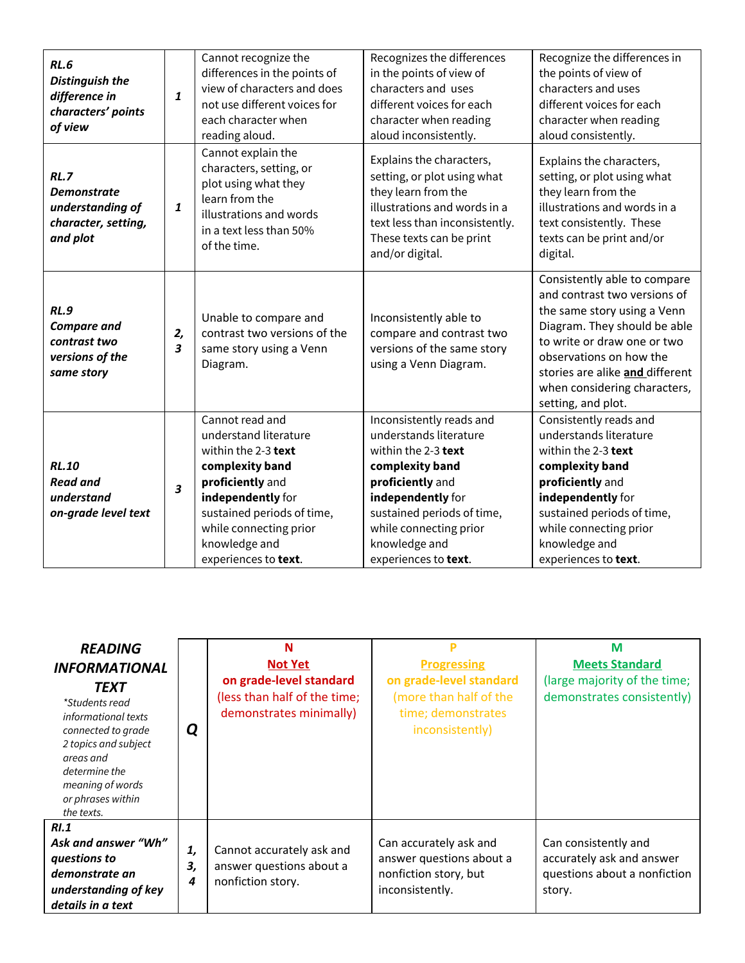| <b>RL.6</b><br><b>Distinguish the</b><br>difference in<br>characters' points<br>of view | 1       | Cannot recognize the<br>differences in the points of<br>view of characters and does<br>not use different voices for<br>each character when<br>reading aloud.                                                                 | Recognizes the differences<br>in the points of view of<br>characters and uses<br>different voices for each<br>character when reading<br>aloud inconsistently.                                                                          | Recognize the differences in<br>the points of view of<br>characters and uses<br>different voices for each<br>character when reading<br>aloud consistently.                                                                                                                     |
|-----------------------------------------------------------------------------------------|---------|------------------------------------------------------------------------------------------------------------------------------------------------------------------------------------------------------------------------------|----------------------------------------------------------------------------------------------------------------------------------------------------------------------------------------------------------------------------------------|--------------------------------------------------------------------------------------------------------------------------------------------------------------------------------------------------------------------------------------------------------------------------------|
| RL.7<br><b>Demonstrate</b><br>understanding of<br>character, setting,<br>and plot       | 1       | Cannot explain the<br>characters, setting, or<br>plot using what they<br>learn from the<br>illustrations and words<br>in a text less than 50%<br>of the time.                                                                | Explains the characters,<br>setting, or plot using what<br>they learn from the<br>illustrations and words in a<br>text less than inconsistently.<br>These texts can be print<br>and/or digital.                                        | Explains the characters,<br>setting, or plot using what<br>they learn from the<br>illustrations and words in a<br>text consistently. These<br>texts can be print and/or<br>digital.                                                                                            |
| <b>RL.9</b><br><b>Compare and</b><br>contrast two<br>versions of the<br>same story      | 2,<br>3 | Unable to compare and<br>contrast two versions of the<br>same story using a Venn<br>Diagram.                                                                                                                                 | Inconsistently able to<br>compare and contrast two<br>versions of the same story<br>using a Venn Diagram.                                                                                                                              | Consistently able to compare<br>and contrast two versions of<br>the same story using a Venn<br>Diagram. They should be able<br>to write or draw one or two<br>observations on how the<br>stories are alike and different<br>when considering characters,<br>setting, and plot. |
| <b>RL.10</b><br><b>Read and</b><br>understand<br>on-grade level text                    | 3       | Cannot read and<br>understand literature<br>within the 2-3 text<br>complexity band<br>proficiently and<br>independently for<br>sustained periods of time,<br>while connecting prior<br>knowledge and<br>experiences to text. | Inconsistently reads and<br>understands literature<br>within the 2-3 text<br>complexity band<br>proficiently and<br>independently for<br>sustained periods of time,<br>while connecting prior<br>knowledge and<br>experiences to text. | Consistently reads and<br>understands literature<br>within the 2-3 text<br>complexity band<br>proficiently and<br>independently for<br>sustained periods of time,<br>while connecting prior<br>knowledge and<br>experiences to text.                                           |

| <b>READING</b><br><i><b>INFORMATIONAL</b></i><br><b>TEXT</b><br>*Students read<br>informational texts<br>connected to grade<br>2 topics and subject<br>areas and<br>determine the<br>meaning of words<br>or phrases within<br>the texts. | Q             | N<br><b>Not Yet</b><br>on grade-level standard<br>(less than half of the time;<br>demonstrates minimally) | <b>Progressing</b><br>on grade-level standard<br>(more than half of the<br>time; demonstrates<br>inconsistently) | M<br><b>Meets Standard</b><br>(large majority of the time;<br>demonstrates consistently)    |
|------------------------------------------------------------------------------------------------------------------------------------------------------------------------------------------------------------------------------------------|---------------|-----------------------------------------------------------------------------------------------------------|------------------------------------------------------------------------------------------------------------------|---------------------------------------------------------------------------------------------|
| <b>RI.1</b><br>Ask and answer "Wh"<br>questions to<br>demonstrate an<br>understanding of key<br>details in a text                                                                                                                        | 1,<br>3,<br>4 | Cannot accurately ask and<br>answer questions about a<br>nonfiction story.                                | Can accurately ask and<br>answer questions about a<br>nonfiction story, but<br>inconsistently.                   | Can consistently and<br>accurately ask and answer<br>questions about a nonfiction<br>story. |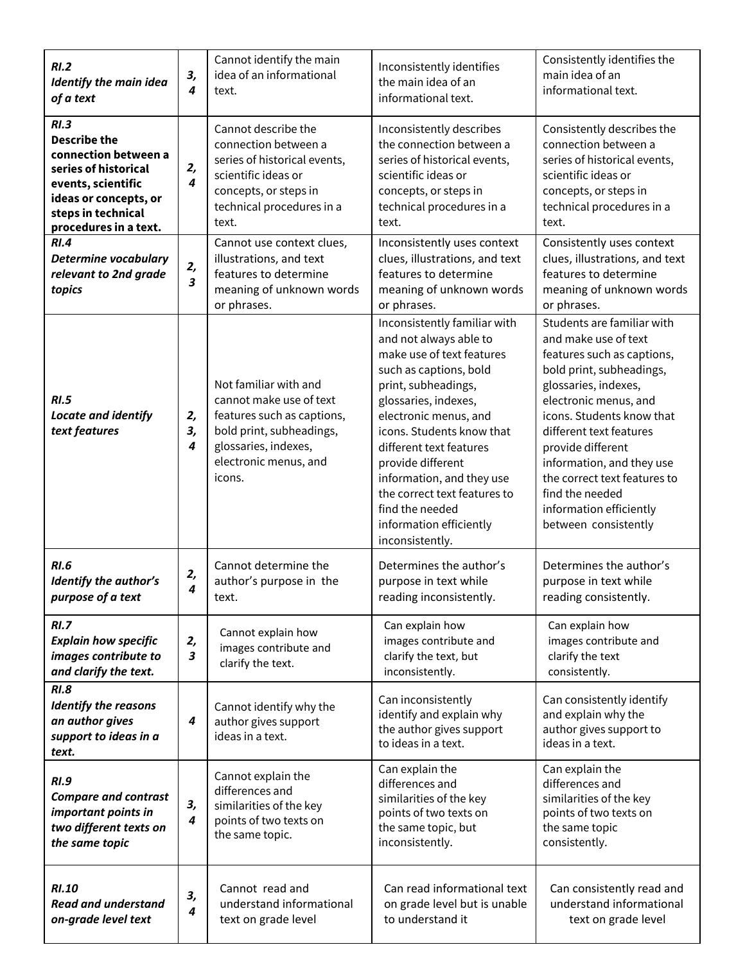| RI.2<br><b>Identify the main idea</b><br>of a text                                                                                                                        | 3,<br>$\overline{4}$          | Cannot identify the main<br>idea of an informational<br>text.                                                                                                         | Inconsistently identifies<br>the main idea of an<br>informational text.                                                                                                                                                                                                                                                                                                                          | Consistently identifies the<br>main idea of an<br>informational text.                                                                                                                                                                                                                                                                                                         |
|---------------------------------------------------------------------------------------------------------------------------------------------------------------------------|-------------------------------|-----------------------------------------------------------------------------------------------------------------------------------------------------------------------|--------------------------------------------------------------------------------------------------------------------------------------------------------------------------------------------------------------------------------------------------------------------------------------------------------------------------------------------------------------------------------------------------|-------------------------------------------------------------------------------------------------------------------------------------------------------------------------------------------------------------------------------------------------------------------------------------------------------------------------------------------------------------------------------|
| RI.3<br><b>Describe the</b><br>connection between a<br>series of historical<br>events, scientific<br>ideas or concepts, or<br>steps in technical<br>procedures in a text. | 2,<br>$\overline{4}$          | Cannot describe the<br>connection between a<br>series of historical events,<br>scientific ideas or<br>concepts, or steps in<br>technical procedures in a<br>text.     | Inconsistently describes<br>the connection between a<br>series of historical events,<br>scientific ideas or<br>concepts, or steps in<br>technical procedures in a<br>text.                                                                                                                                                                                                                       | Consistently describes the<br>connection between a<br>series of historical events,<br>scientific ideas or<br>concepts, or steps in<br>technical procedures in a<br>text.                                                                                                                                                                                                      |
| RI.4<br><b>Determine vocabulary</b><br>relevant to 2nd grade<br>topics                                                                                                    | 2,<br>$\overline{\mathbf{3}}$ | Cannot use context clues,<br>illustrations, and text<br>features to determine<br>meaning of unknown words<br>or phrases.                                              | Inconsistently uses context<br>clues, illustrations, and text<br>features to determine<br>meaning of unknown words<br>or phrases.                                                                                                                                                                                                                                                                | Consistently uses context<br>clues, illustrations, and text<br>features to determine<br>meaning of unknown words<br>or phrases.                                                                                                                                                                                                                                               |
| RI.5<br>Locate and identify<br>text features                                                                                                                              | 2,<br>3,<br>4                 | Not familiar with and<br>cannot make use of text<br>features such as captions,<br>bold print, subheadings,<br>glossaries, indexes,<br>electronic menus, and<br>icons. | Inconsistently familiar with<br>and not always able to<br>make use of text features<br>such as captions, bold<br>print, subheadings,<br>glossaries, indexes,<br>electronic menus, and<br>icons. Students know that<br>different text features<br>provide different<br>information, and they use<br>the correct text features to<br>find the needed<br>information efficiently<br>inconsistently. | Students are familiar with<br>and make use of text<br>features such as captions,<br>bold print, subheadings,<br>glossaries, indexes,<br>electronic menus, and<br>icons. Students know that<br>different text features<br>provide different<br>information, and they use<br>the correct text features to<br>find the needed<br>information efficiently<br>between consistently |
| <b>RI.6</b><br>Identify the author's<br>purpose of a text                                                                                                                 | 2,<br>4                       | Cannot determine the<br>author's purpose in the<br>text.                                                                                                              | Determines the author's<br>purpose in text while<br>reading inconsistently.                                                                                                                                                                                                                                                                                                                      | Determines the author's<br>purpose in text while<br>reading consistently.                                                                                                                                                                                                                                                                                                     |
| RI.7<br><b>Explain how specific</b><br>images contribute to<br>and clarify the text.                                                                                      | 2,<br>3                       | Cannot explain how<br>images contribute and<br>clarify the text.                                                                                                      | Can explain how<br>images contribute and<br>clarify the text, but<br>inconsistently.                                                                                                                                                                                                                                                                                                             | Can explain how<br>images contribute and<br>clarify the text<br>consistently.                                                                                                                                                                                                                                                                                                 |
| <b>RI.8</b><br><b>Identify the reasons</b><br>an author gives<br>support to ideas in a<br>text.                                                                           | 4                             | Cannot identify why the<br>author gives support<br>ideas in a text.                                                                                                   | Can inconsistently<br>identify and explain why<br>the author gives support<br>to ideas in a text.                                                                                                                                                                                                                                                                                                | Can consistently identify<br>and explain why the<br>author gives support to<br>ideas in a text.                                                                                                                                                                                                                                                                               |
| <b>RI.9</b><br><b>Compare and contrast</b><br>important points in<br>two different texts on<br>the same topic                                                             | З,<br>4                       | Cannot explain the<br>differences and<br>similarities of the key<br>points of two texts on<br>the same topic.                                                         | Can explain the<br>differences and<br>similarities of the key<br>points of two texts on<br>the same topic, but<br>inconsistently.                                                                                                                                                                                                                                                                | Can explain the<br>differences and<br>similarities of the key<br>points of two texts on<br>the same topic<br>consistently.                                                                                                                                                                                                                                                    |
| <b>RI.10</b><br><b>Read and understand</b><br>on-grade level text                                                                                                         | 3,<br>$\boldsymbol{4}$        | Cannot read and<br>understand informational<br>text on grade level                                                                                                    | Can read informational text<br>on grade level but is unable<br>to understand it                                                                                                                                                                                                                                                                                                                  | Can consistently read and<br>understand informational<br>text on grade level                                                                                                                                                                                                                                                                                                  |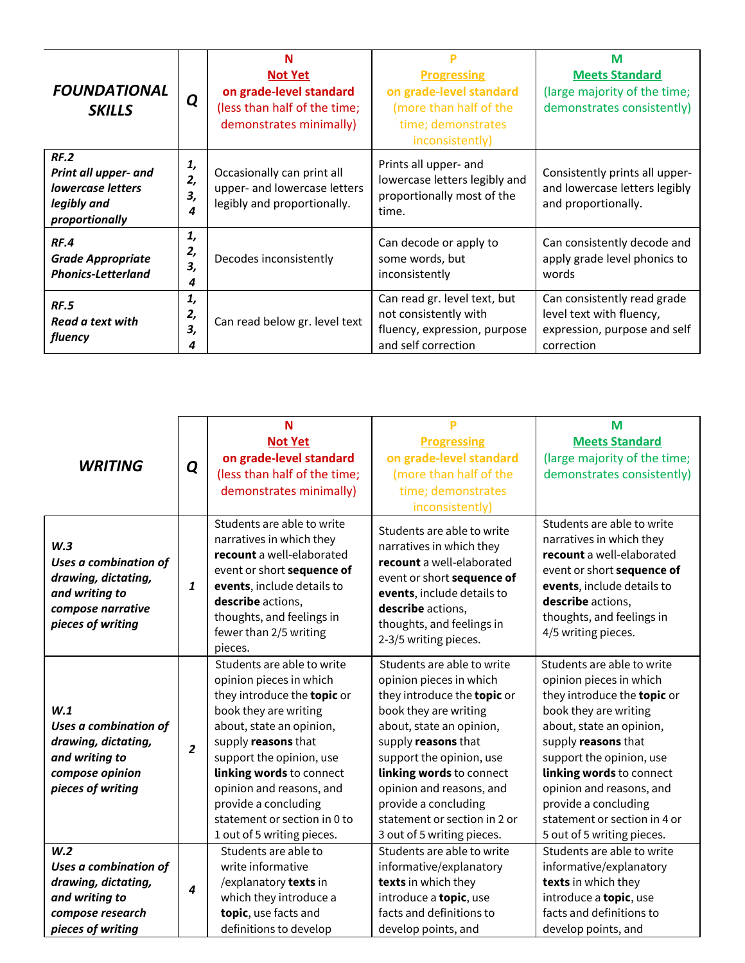| <b>FOUNDATIONAL</b><br><b>SKILLS</b>                                                      | Q                   | <b>Not Yet</b><br>on grade-level standard                                                 | <b>Progressing</b><br>on grade-level standard                                                                | м<br><b>Meets Standard</b><br>(large majority of the time;                                            |
|-------------------------------------------------------------------------------------------|---------------------|-------------------------------------------------------------------------------------------|--------------------------------------------------------------------------------------------------------------|-------------------------------------------------------------------------------------------------------|
|                                                                                           |                     | (less than half of the time;<br>demonstrates minimally)                                   | (more than half of the<br>time; demonstrates<br>inconsistently)                                              | demonstrates consistently)                                                                            |
| RF.2<br>Print all upper- and<br><b>lowercase letters</b><br>legibly and<br>proportionally | 1,<br>2,<br>3,<br>4 | Occasionally can print all<br>upper- and lowercase letters<br>legibly and proportionally. | Prints all upper- and<br>lowercase letters legibly and<br>proportionally most of the<br>time.                | Consistently prints all upper-<br>and lowercase letters legibly<br>and proportionally.                |
| RF.4<br><b>Grade Appropriate</b><br><b>Phonics-Letterland</b>                             | 1,<br>2,<br>З,<br>4 | Decodes inconsistently                                                                    | Can decode or apply to<br>some words, but<br>inconsistently                                                  | Can consistently decode and<br>apply grade level phonics to<br>words                                  |
| <b>RF.5</b><br>Read a text with<br>fluency                                                | 1,<br>2,<br>3,<br>4 | Can read below gr. level text                                                             | Can read gr. level text, but<br>not consistently with<br>fluency, expression, purpose<br>and self correction | Can consistently read grade<br>level text with fluency,<br>expression, purpose and self<br>correction |

|                                                                                                                 |                  | N                                                                                                                                                                                                                                                                                                                                          |                                                                                                                                                                                                                                                                                                                                            | M                                                                                                                                                                                                                                                                                                                                          |
|-----------------------------------------------------------------------------------------------------------------|------------------|--------------------------------------------------------------------------------------------------------------------------------------------------------------------------------------------------------------------------------------------------------------------------------------------------------------------------------------------|--------------------------------------------------------------------------------------------------------------------------------------------------------------------------------------------------------------------------------------------------------------------------------------------------------------------------------------------|--------------------------------------------------------------------------------------------------------------------------------------------------------------------------------------------------------------------------------------------------------------------------------------------------------------------------------------------|
|                                                                                                                 | Q                | <b>Not Yet</b>                                                                                                                                                                                                                                                                                                                             | <b>Progressing</b>                                                                                                                                                                                                                                                                                                                         | <b>Meets Standard</b>                                                                                                                                                                                                                                                                                                                      |
|                                                                                                                 |                  | on grade-level standard                                                                                                                                                                                                                                                                                                                    | on grade-level standard                                                                                                                                                                                                                                                                                                                    | (large majority of the time;                                                                                                                                                                                                                                                                                                               |
| <b>WRITING</b>                                                                                                  |                  | (less than half of the time;                                                                                                                                                                                                                                                                                                               | (more than half of the                                                                                                                                                                                                                                                                                                                     | demonstrates consistently)                                                                                                                                                                                                                                                                                                                 |
|                                                                                                                 |                  | demonstrates minimally)                                                                                                                                                                                                                                                                                                                    | time; demonstrates                                                                                                                                                                                                                                                                                                                         |                                                                                                                                                                                                                                                                                                                                            |
|                                                                                                                 |                  |                                                                                                                                                                                                                                                                                                                                            | inconsistently)                                                                                                                                                                                                                                                                                                                            |                                                                                                                                                                                                                                                                                                                                            |
| W.3<br>Uses a combination of<br>drawing, dictating,<br>and writing to<br>compose narrative<br>pieces of writing | $\mathbf{1}$     | Students are able to write<br>narratives in which they<br>recount a well-elaborated<br>event or short sequence of<br>events, include details to<br>describe actions,<br>thoughts, and feelings in<br>fewer than 2/5 writing<br>pieces.                                                                                                     | Students are able to write<br>narratives in which they<br>recount a well-elaborated<br>event or short sequence of<br>events, include details to<br>describe actions,<br>thoughts, and feelings in<br>2-3/5 writing pieces.                                                                                                                 | Students are able to write<br>narratives in which they<br>recount a well-elaborated<br>event or short sequence of<br>events, include details to<br>describe actions,<br>thoughts, and feelings in<br>4/5 writing pieces.                                                                                                                   |
| W.1<br>Uses a combination of<br>drawing, dictating,<br>and writing to<br>compose opinion<br>pieces of writing   | $\overline{2}$   | Students are able to write<br>opinion pieces in which<br>they introduce the topic or<br>book they are writing<br>about, state an opinion,<br>supply reasons that<br>support the opinion, use<br>linking words to connect<br>opinion and reasons, and<br>provide a concluding<br>statement or section in 0 to<br>1 out of 5 writing pieces. | Students are able to write<br>opinion pieces in which<br>they introduce the topic or<br>book they are writing<br>about, state an opinion,<br>supply reasons that<br>support the opinion, use<br>linking words to connect<br>opinion and reasons, and<br>provide a concluding<br>statement or section in 2 or<br>3 out of 5 writing pieces. | Students are able to write<br>opinion pieces in which<br>they introduce the topic or<br>book they are writing<br>about, state an opinion,<br>supply reasons that<br>support the opinion, use<br>linking words to connect<br>opinion and reasons, and<br>provide a concluding<br>statement or section in 4 or<br>5 out of 5 writing pieces. |
| W.2                                                                                                             |                  | Students are able to                                                                                                                                                                                                                                                                                                                       | Students are able to write                                                                                                                                                                                                                                                                                                                 | Students are able to write                                                                                                                                                                                                                                                                                                                 |
| Uses a combination of                                                                                           |                  | write informative                                                                                                                                                                                                                                                                                                                          | informative/explanatory                                                                                                                                                                                                                                                                                                                    | informative/explanatory                                                                                                                                                                                                                                                                                                                    |
| drawing, dictating,                                                                                             | $\boldsymbol{4}$ | /explanatory texts in                                                                                                                                                                                                                                                                                                                      | texts in which they                                                                                                                                                                                                                                                                                                                        | texts in which they                                                                                                                                                                                                                                                                                                                        |
| and writing to                                                                                                  |                  | which they introduce a                                                                                                                                                                                                                                                                                                                     | introduce a topic, use                                                                                                                                                                                                                                                                                                                     | introduce a topic, use                                                                                                                                                                                                                                                                                                                     |
| compose research                                                                                                |                  | topic, use facts and                                                                                                                                                                                                                                                                                                                       | facts and definitions to                                                                                                                                                                                                                                                                                                                   | facts and definitions to                                                                                                                                                                                                                                                                                                                   |
| pieces of writing                                                                                               |                  | definitions to develop                                                                                                                                                                                                                                                                                                                     | develop points, and                                                                                                                                                                                                                                                                                                                        | develop points, and                                                                                                                                                                                                                                                                                                                        |